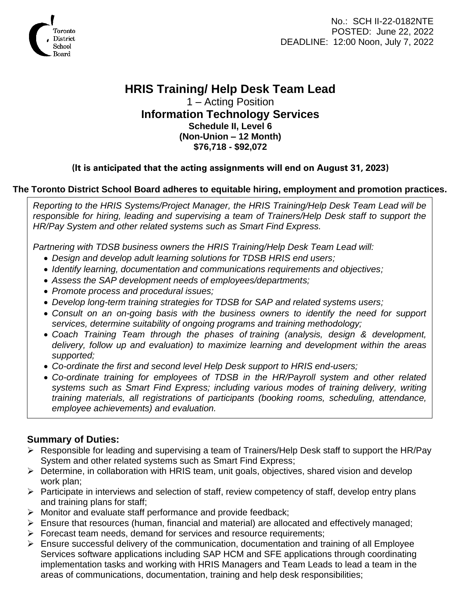

No.: SCH II-22-0182NTE POSTED: June 22, 2022 DEADLINE: 12:00 Noon, July 7, 2022

# **HRIS Training/ Help Desk Team Lead**

1 – Acting Position **Information Technology Services Schedule II, Level 6 (Non-Union – 12 Month) \$76,718 - \$92,072**

## **(It is anticipated that the acting assignments will end on August 31, 2023)**

## **The Toronto District School Board adheres to equitable hiring, employment and promotion practices.**

*Reporting to the HRIS Systems/Project Manager, the HRIS Training/Help Desk Team Lead will be*  responsible for hiring, leading and supervising a team of Trainers/Help Desk staff to support the *HR/Pay System and other related systems such as Smart Find Express.* 

*Partnering with TDSB business owners the HRIS Training/Help Desk Team Lead will:*

- *Design and develop adult learning solutions for TDSB HRIS end users;*
- *Identify learning, documentation and communications requirements and objectives;*
- *Assess the SAP development needs of employees/departments;*
- *Promote process and procedural issues;*
- *Develop long-term training strategies for TDSB for SAP and related systems users;*
- *Consult on an on-going basis with the business owners to identify the need for support services, determine suitability of ongoing programs and training methodology;*
- *Coach Training Team through the phases of training (analysis, design & development, delivery, follow up and evaluation) to maximize learning and development within the areas supported;*
- *Co-ordinate the first and second level Help Desk support to HRIS end-users;*
- *Co-ordinate training for employees of TDSB in the HR/Payroll system and other related systems such as Smart Find Express; including various modes of training delivery, writing training materials, all registrations of participants (booking rooms, scheduling, attendance, employee achievements) and evaluation.*

# **Summary of Duties:**

- ➢ Responsible for leading and supervising a team of Trainers/Help Desk staff to support the HR/Pay System and other related systems such as Smart Find Express;
- ➢ Determine, in collaboration with HRIS team, unit goals, objectives, shared vision and develop work plan;
- ➢ Participate in interviews and selection of staff, review competency of staff, develop entry plans and training plans for staff;
- ➢ Monitor and evaluate staff performance and provide feedback;
- ➢ Ensure that resources (human, financial and material) are allocated and effectively managed;
- ➢ Forecast team needs, demand for services and resource requirements;
- ➢ Ensure successful delivery of the communication, documentation and training of all Employee Services software applications including SAP HCM and SFE applications through coordinating implementation tasks and working with HRIS Managers and Team Leads to lead a team in the areas of communications, documentation, training and help desk responsibilities;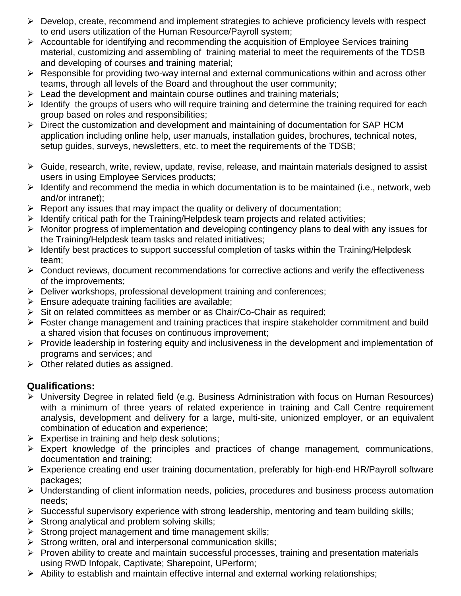- $\triangleright$  Develop, create, recommend and implement strategies to achieve proficiency levels with respect to end users utilization of the Human Resource/Payroll system;
- ➢ Accountable for identifying and recommending the acquisition of Employee Services training material, customizing and assembling of training material to meet the requirements of the TDSB and developing of courses and training material;
- ➢ Responsible for providing two-way internal and external communications within and across other teams, through all levels of the Board and throughout the user community;
- $\triangleright$  Lead the development and maintain course outlines and training materials;
- $\triangleright$  Identify the groups of users who will require training and determine the training required for each group based on roles and responsibilities;
- ➢ Direct the customization and development and maintaining of documentation for SAP HCM application including online help, user manuals, installation guides, brochures, technical notes, setup guides, surveys, newsletters, etc. to meet the requirements of the TDSB;
- $\triangleright$  Guide, research, write, review, update, revise, release, and maintain materials designed to assist users in using Employee Services products;
- ➢ Identify and recommend the media in which documentation is to be maintained (i.e., network, web and/or intranet);
- ➢ Report any issues that may impact the quality or delivery of documentation;
- ➢ Identify critical path for the Training/Helpdesk team projects and related activities;
- ➢ Monitor progress of implementation and developing contingency plans to deal with any issues for the Training/Helpdesk team tasks and related initiatives;
- ➢ Identify best practices to support successful completion of tasks within the Training/Helpdesk team;
- $\triangleright$  Conduct reviews, document recommendations for corrective actions and verify the effectiveness of the improvements;
- ➢ Deliver workshops, professional development training and conferences;
- $\triangleright$  Ensure adequate training facilities are available;
- ➢ Sit on related committees as member or as Chair/Co-Chair as required;
- ➢ Foster change management and training practices that inspire stakeholder commitment and build a shared vision that focuses on continuous improvement;
- ➢ Provide leadership in fostering equity and inclusiveness in the development and implementation of programs and services; and
- $\triangleright$  Other related duties as assigned.

# **Qualifications:**

- ➢ University Degree in related field (e.g. Business Administration with focus on Human Resources) with a minimum of three years of related experience in training and Call Centre requirement analysis, development and delivery for a large, multi-site, unionized employer, or an equivalent combination of education and experience;
- $\triangleright$  Expertise in training and help desk solutions;
- ➢ Expert knowledge of the principles and practices of change management, communications, documentation and training;
- ➢ Experience creating end user training documentation, preferably for high-end HR/Payroll software packages;
- ➢ Understanding of client information needs, policies, procedures and business process automation needs;
- ➢ Successful supervisory experience with strong leadership, mentoring and team building skills;
- $\triangleright$  Strong analytical and problem solving skills;
- ➢ Strong project management and time management skills;
- ➢ Strong written, oral and interpersonal communication skills;
- ➢ Proven ability to create and maintain successful processes, training and presentation materials using RWD Infopak, Captivate; Sharepoint, UPerform;
- ➢ Ability to establish and maintain effective internal and external working relationships;